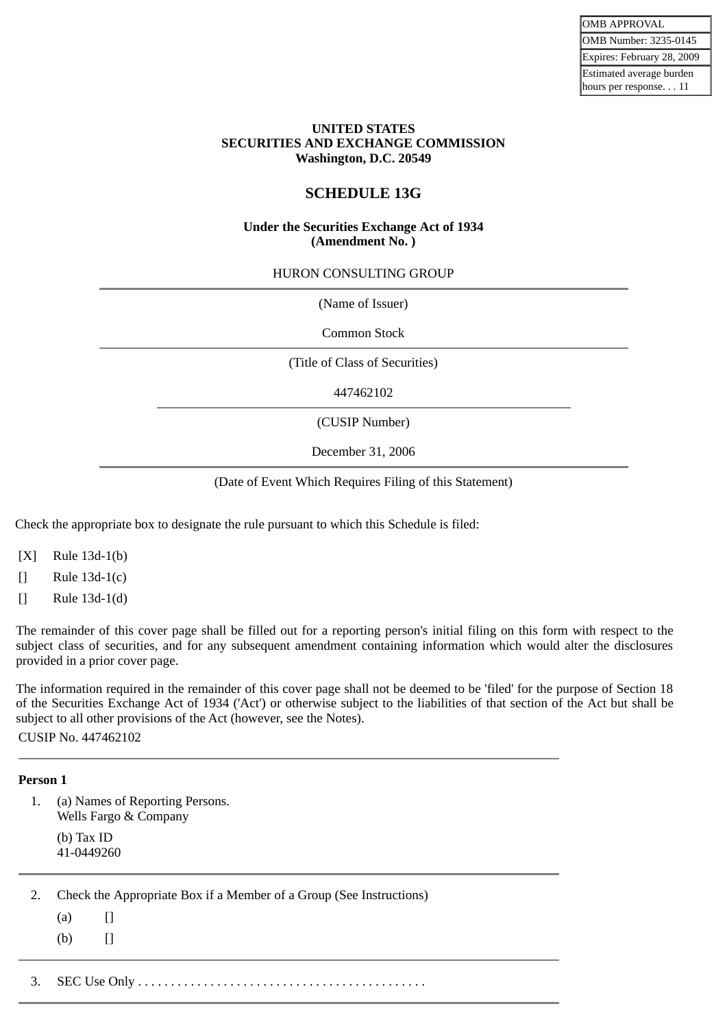#### **UNITED STATES SECURITIES AND EXCHANGE COMMISSION Washington, D.C. 20549**

## **SCHEDULE 13G**

#### **Under the Securities Exchange Act of 1934 (Amendment No. )**

#### HURON CONSULTING GROUP

(Name of Issuer)

Common Stock

(Title of Class of Securities)

447462102

(CUSIP Number)

December 31, 2006

(Date of Event Which Requires Filing of this Statement)

Check the appropriate box to designate the rule pursuant to which this Schedule is filed:

[X] Rule 13d-1(b)

[] Rule 13d-1(c)

[] Rule 13d-1(d)

The remainder of this cover page shall be filled out for a reporting person's initial filing on this form with respect to the subject class of securities, and for any subsequent amendment containing information which would alter the disclosures provided in a prior cover page.

The information required in the remainder of this cover page shall not be deemed to be 'filed' for the purpose of Section 18 of the Securities Exchange Act of 1934 ('Act') or otherwise subject to the liabilities of that section of the Act but shall be subject to all other provisions of the Act (however, see the Notes).

CUSIP No. 447462102

#### **Person 1**

1. (a) Names of Reporting Persons. Wells Fargo & Company (b) Tax ID 41-0449260

2. Check the Appropriate Box if a Member of a Group (See Instructions)

- $(a)$  []
- $(b)$   $[$

3. SEC Use Only . . . . . . . . . . . . . . . . . . . . . . . . . . . . . . . . . . . . . . . . . . . .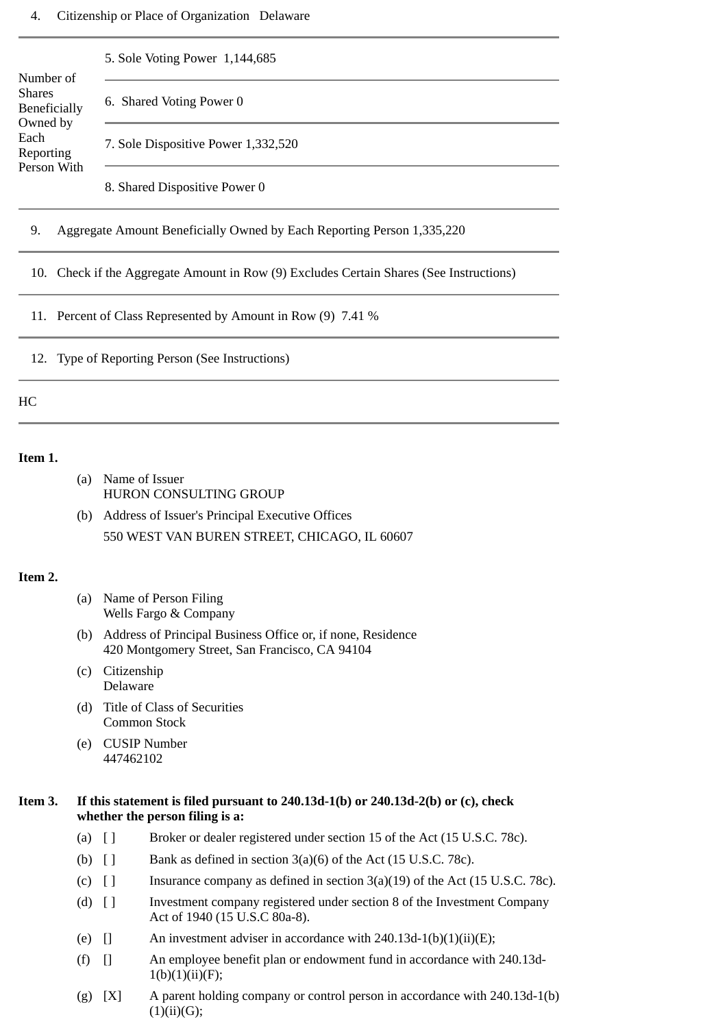|                                                                                         | 5. Sole Voting Power 1,144,685      |  |  |
|-----------------------------------------------------------------------------------------|-------------------------------------|--|--|
| Number of                                                                               |                                     |  |  |
| <b>Shares</b><br>Beneficially<br>Owned by<br>Each<br>Reporting                          | 6. Shared Voting Power 0            |  |  |
|                                                                                         | 7. Sole Dispositive Power 1,332,520 |  |  |
| Person With                                                                             | 8. Shared Dispositive Power 0       |  |  |
| 9.<br>Aggregate Amount Beneficially Owned by Each Reporting Person 1,335,220            |                                     |  |  |
| 10. Check if the Aggregate Amount in Row (9) Excludes Certain Shares (See Instructions) |                                     |  |  |
| 11. Percent of Class Represented by Amount in Row (9) 7.41 %                            |                                     |  |  |

12. Type of Reporting Person (See Instructions)

#### HC

#### **Item 1.**

- (a) Name of Issuer HURON CONSULTING GROUP
- (b) Address of Issuer's Principal Executive Offices 550 WEST VAN BUREN STREET, CHICAGO, IL 60607

#### **Item 2.**

- (a) Name of Person Filing Wells Fargo & Company
- (b) Address of Principal Business Office or, if none, Residence 420 Montgomery Street, San Francisco, CA 94104
- (c) Citizenship Delaware
- (d) Title of Class of Securities Common Stock
- (e) CUSIP Number 447462102

#### **Item 3. If this statement is filed pursuant to 240.13d-1(b) or 240.13d-2(b) or (c), check whether the person filing is a:**

- (a) [ ] Broker or dealer registered under section 15 of the Act (15 U.S.C. 78c).
- (b)  $\begin{bmatrix} \end{bmatrix}$  Bank as defined in section 3(a)(6) of the Act (15 U.S.C. 78c).
- (c)  $\begin{bmatrix} \end{bmatrix}$  Insurance company as defined in section 3(a)(19) of the Act (15 U.S.C. 78c).
- (d) [ ] Investment company registered under section 8 of the Investment Company Act of 1940 (15 U.S.C 80a-8).
- (e)  $\Box$  An investment adviser in accordance with 240.13d-1(b)(1)(ii)(E);
- (f) [] An employee benefit plan or endowment fund in accordance with 240.13d- $1(b)(1)(ii)(F);$
- (g)  $[X]$  A parent holding company or control person in accordance with 240.13d-1(b)  $(1)(ii)(G);$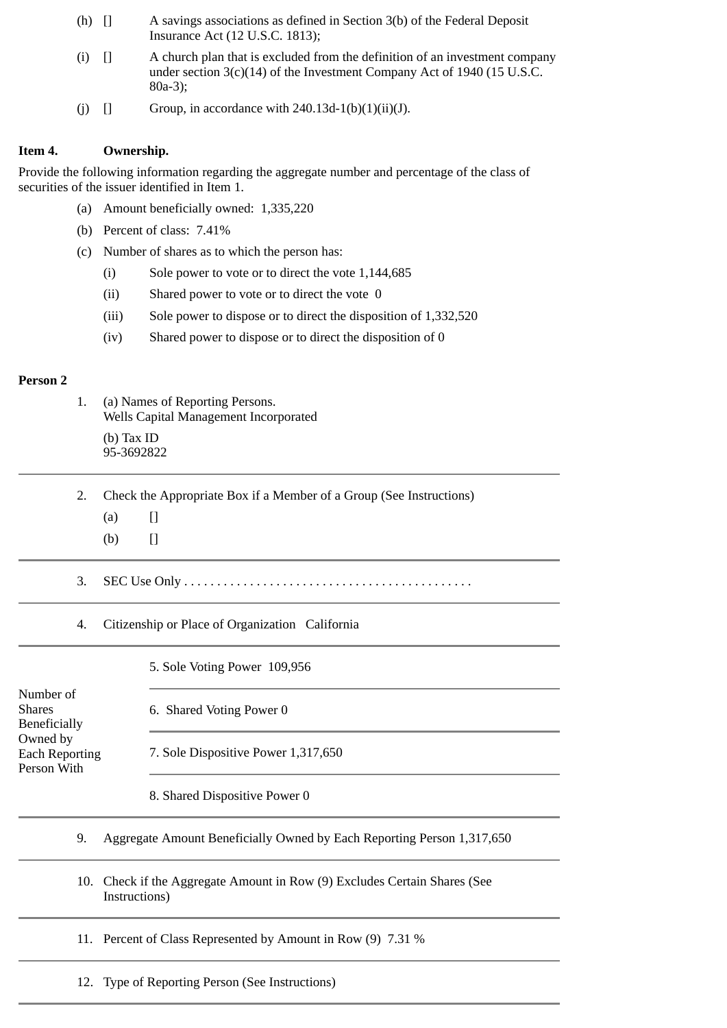- (h) [] A savings associations as defined in Section 3(b) of the Federal Deposit Insurance Act (12 U.S.C. 1813);
- (i) [] A church plan that is excluded from the definition of an investment company under section 3(c)(14) of the Investment Company Act of 1940 (15 U.S.C. 80a-3);
- (i)  $\Box$  Group, in accordance with 240.13d-1(b)(1)(ii)(J).

## **Item 4. Ownership.**

Provide the following information regarding the aggregate number and percentage of the class of securities of the issuer identified in Item 1.

- (a) Amount beneficially owned: 1,335,220
- (b) Percent of class: 7.41%
- (c) Number of shares as to which the person has:
	- (i) Sole power to vote or to direct the vote 1,144,685
	- (ii) Shared power to vote or to direct the vote 0
	- (iii) Sole power to dispose or to direct the disposition of 1,332,520
	- (iv) Shared power to dispose or to direct the disposition of 0

#### **Person 2**

- 1. (a) Names of Reporting Persons. Wells Capital Management Incorporated (b) Tax ID 95-3692822
- 2. Check the Appropriate Box if a Member of a Group (See Instructions)
	- $(a)$  []
	- $(b)$  []
- 3. SEC Use Only . . . . . . . . . . . . . . . . . . . . . . . . . . . . . . . . . . . . . . . . . . . .
- 4. Citizenship or Place of Organization California

|                                                   | 5. Sole Voting Power 109,956                                                           |  |
|---------------------------------------------------|----------------------------------------------------------------------------------------|--|
| Number of<br><b>Shares</b><br><b>Beneficially</b> | 6. Shared Voting Power 0                                                               |  |
| Owned by<br><b>Each Reporting</b><br>Person With  | 7. Sole Dispositive Power 1,317,650                                                    |  |
|                                                   | 8. Shared Dispositive Power 0                                                          |  |
| 9.                                                | Aggregate Amount Beneficially Owned by Each Reporting Person 1,317,650                 |  |
| 10.                                               | Check if the Aggregate Amount in Row (9) Excludes Certain Shares (See<br>Instructions) |  |
|                                                   | 11. Percent of Class Represented by Amount in Row (9) 7.31 %                           |  |
|                                                   | 12. Type of Reporting Person (See Instructions)                                        |  |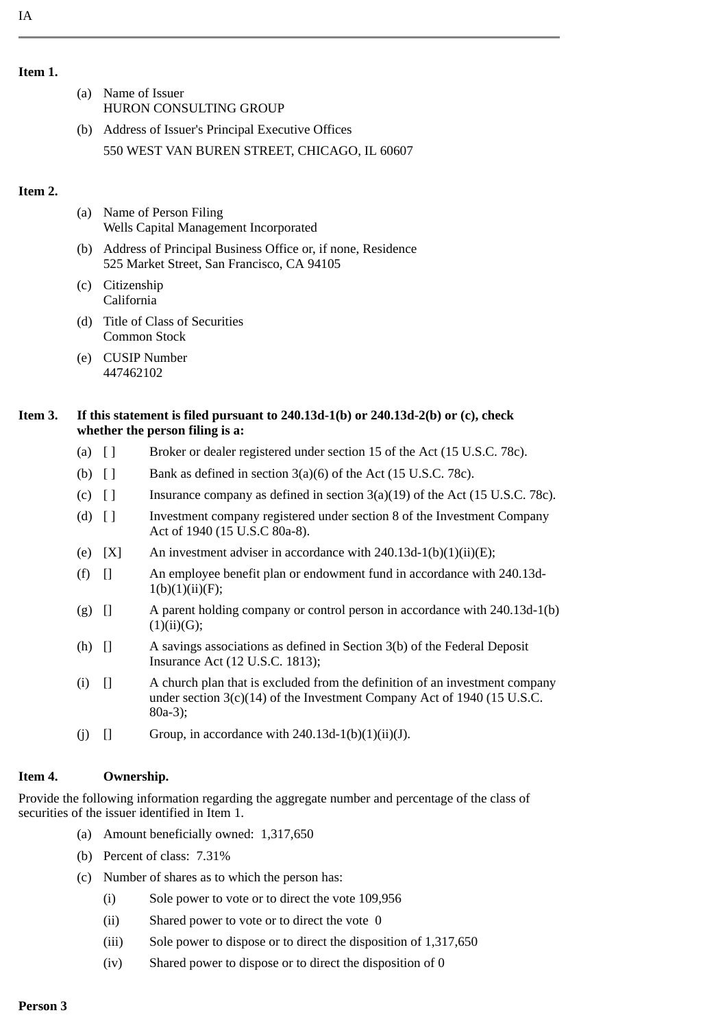- (a) Name of Issuer HURON CONSULTING GROUP
- (b) Address of Issuer's Principal Executive Offices 550 WEST VAN BUREN STREET, CHICAGO, IL 60607

## **Item 2.**

- (a) Name of Person Filing Wells Capital Management Incorporated
- (b) Address of Principal Business Office or, if none, Residence 525 Market Street, San Francisco, CA 94105
- (c) Citizenship California
- (d) Title of Class of Securities Common Stock
- (e) CUSIP Number 447462102

## **Item 3. If this statement is filed pursuant to 240.13d-1(b) or 240.13d-2(b) or (c), check whether the person filing is a:**

- (a) [ ] Broker or dealer registered under section 15 of the Act (15 U.S.C. 78c).
- (b)  $\begin{bmatrix} \end{bmatrix}$  Bank as defined in section 3(a)(6) of the Act (15 U.S.C. 78c).
- (c)  $\lceil \cdot \rceil$  Insurance company as defined in section 3(a)(19) of the Act (15 U.S.C. 78c).
- (d) [ ] Investment company registered under section 8 of the Investment Company Act of 1940 (15 U.S.C 80a-8).
- (e)  $[X]$  An investment adviser in accordance with 240.13d-1(b)(1)(ii)(E);
- (f) [] An employee benefit plan or endowment fund in accordance with 240.13d- $1(b)(1)(ii)(F);$
- (g) [] A parent holding company or control person in accordance with 240.13d-1(b)  $(1)(ii)(G);$
- (h) [] A savings associations as defined in Section 3(b) of the Federal Deposit Insurance Act (12 U.S.C. 1813);
- (i) [] A church plan that is excluded from the definition of an investment company under section  $3(c)(14)$  of the Investment Company Act of 1940 (15 U.S.C. 80a-3);
- (i)  $\Box$  Group, in accordance with 240.13d-1(b)(1)(ii)(J).

# **Item 4. Ownership.**

Provide the following information regarding the aggregate number and percentage of the class of securities of the issuer identified in Item 1.

- (a) Amount beneficially owned: 1,317,650
- (b) Percent of class: 7.31%
- (c) Number of shares as to which the person has:
	- (i) Sole power to vote or to direct the vote 109,956
	- (ii) Shared power to vote or to direct the vote 0
	- (iii) Sole power to dispose or to direct the disposition of 1,317,650
	- (iv) Shared power to dispose or to direct the disposition of 0

**Item 1.**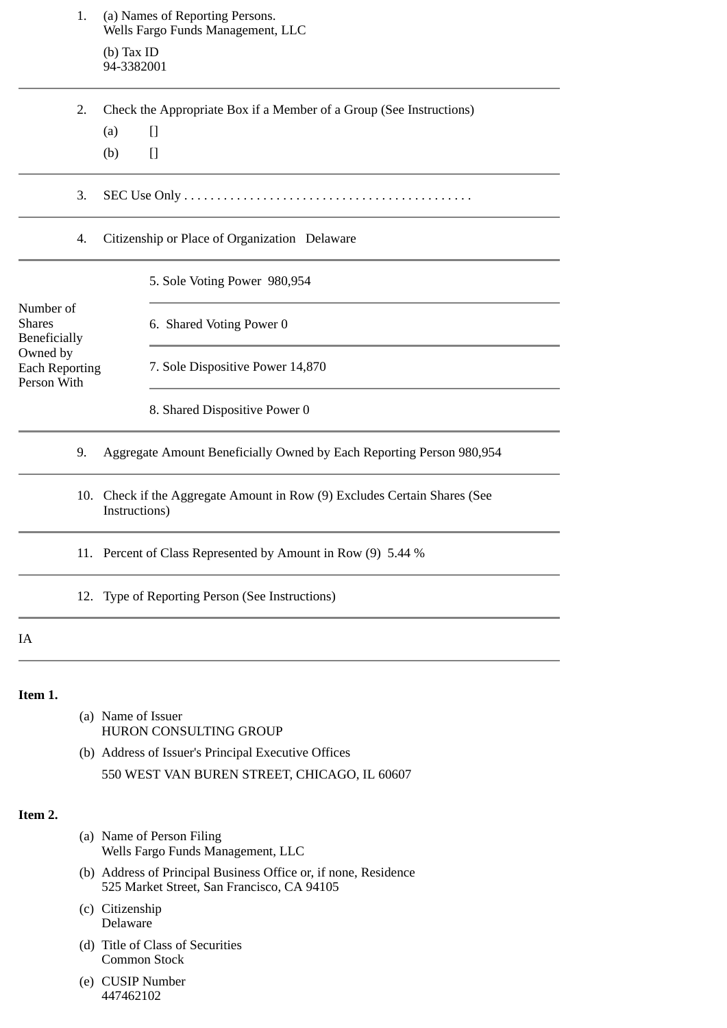|                                                   | 1.                               | (a) Names of Reporting Persons.<br>Wells Fargo Funds Management, LLC                                          |
|---------------------------------------------------|----------------------------------|---------------------------------------------------------------------------------------------------------------|
|                                                   |                                  | $(b)$ Tax ID<br>94-3382001                                                                                    |
|                                                   | 2.                               | Check the Appropriate Box if a Member of a Group (See Instructions)                                           |
|                                                   |                                  | $[]$<br>(a)                                                                                                   |
|                                                   |                                  | $[]$<br>(b)                                                                                                   |
|                                                   | 3.                               |                                                                                                               |
|                                                   | 4.                               | Citizenship or Place of Organization Delaware                                                                 |
|                                                   |                                  | 5. Sole Voting Power 980,954                                                                                  |
| Number of<br><b>Shares</b><br><b>Beneficially</b> |                                  | 6. Shared Voting Power 0                                                                                      |
| Owned by<br><b>Each Reporting</b><br>Person With  | 7. Sole Dispositive Power 14,870 |                                                                                                               |
|                                                   |                                  | 8. Shared Dispositive Power 0                                                                                 |
|                                                   | 9.                               | Aggregate Amount Beneficially Owned by Each Reporting Person 980,954                                          |
|                                                   | 10.                              | Check if the Aggregate Amount in Row (9) Excludes Certain Shares (See<br>Instructions)                        |
|                                                   | 11.                              | Percent of Class Represented by Amount in Row (9) 5.44 %                                                      |
|                                                   |                                  | 12. Type of Reporting Person (See Instructions)                                                               |
| IA                                                |                                  |                                                                                                               |
| Item 1.                                           |                                  |                                                                                                               |
|                                                   |                                  | (a) Name of Issuer<br>HURON CONSULTING GROUP                                                                  |
|                                                   |                                  | (b) Address of Issuer's Principal Executive Offices                                                           |
|                                                   |                                  | 550 WEST VAN BUREN STREET, CHICAGO, IL 60607                                                                  |
| Item 2.                                           |                                  |                                                                                                               |
|                                                   |                                  | (a) Name of Person Filing<br>Wells Fargo Funds Management, LLC                                                |
|                                                   |                                  | (b) Address of Principal Business Office or, if none, Residence<br>525 Market Street, San Francisco, CA 94105 |
|                                                   |                                  | (c) Citizenship<br>Delaware                                                                                   |
|                                                   |                                  | (d) Title of Class of Securities<br>Common Stock                                                              |
|                                                   |                                  | (e) CUSIP Number<br>447462102                                                                                 |
|                                                   |                                  |                                                                                                               |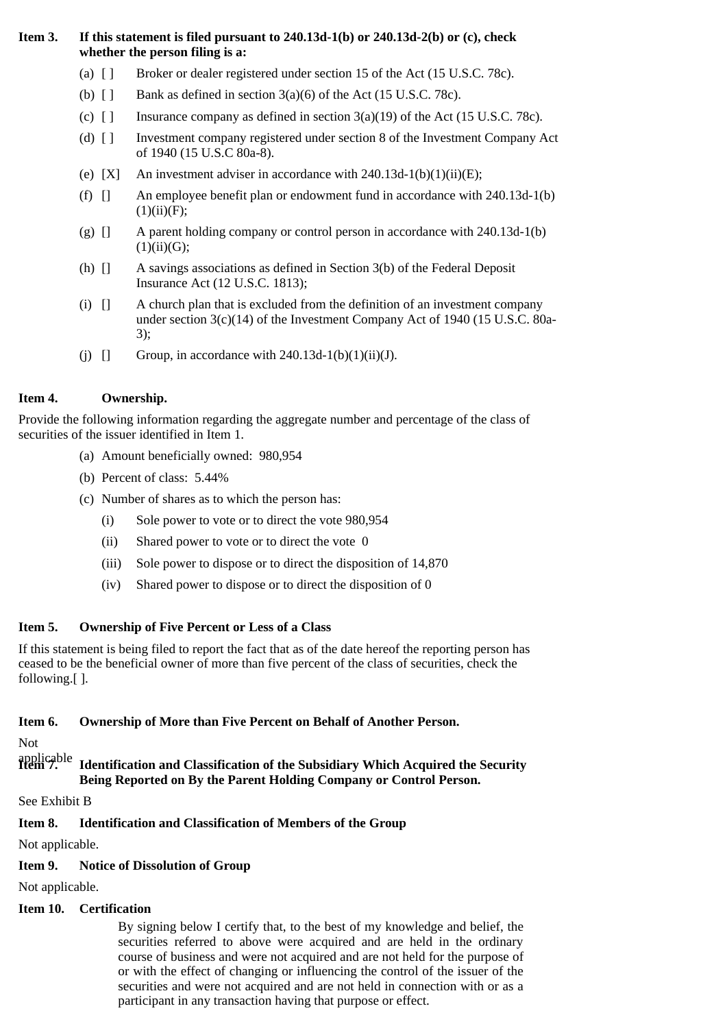## **Item 3. If this statement is filed pursuant to 240.13d-1(b) or 240.13d-2(b) or (c), check whether the person filing is a:**

- (a) [ ] Broker or dealer registered under section 15 of the Act (15 U.S.C. 78c).
- (b)  $\lceil \cdot \rceil$  Bank as defined in section 3(a)(6) of the Act (15 U.S.C. 78c).
- (c)  $\lceil \cdot \rceil$  Insurance company as defined in section 3(a)(19) of the Act (15 U.S.C. 78c).
- (d) [ ] Investment company registered under section 8 of the Investment Company Act of 1940 (15 U.S.C 80a-8).
- (e)  $[X]$  An investment adviser in accordance with 240.13d-1(b)(1)(ii)(E);
- (f) [] An employee benefit plan or endowment fund in accordance with 240.13d-1(b)  $(1)(ii)(F);$
- (g) [] A parent holding company or control person in accordance with 240.13d-1(b)  $(1)(ii)(G);$
- (h) [] A savings associations as defined in Section 3(b) of the Federal Deposit Insurance Act (12 U.S.C. 1813);
- (i) [] A church plan that is excluded from the definition of an investment company under section 3(c)(14) of the Investment Company Act of 1940 (15 U.S.C. 80a-3);
- (i)  $\Box$  Group, in accordance with 240.13d-1(b)(1)(ii)(J).

## **Item 4. Ownership.**

Provide the following information regarding the aggregate number and percentage of the class of securities of the issuer identified in Item 1.

- (a) Amount beneficially owned: 980,954
- (b) Percent of class: 5.44%
- (c) Number of shares as to which the person has:
	- (i) Sole power to vote or to direct the vote 980,954
	- (ii) Shared power to vote or to direct the vote 0
	- (iii) Sole power to dispose or to direct the disposition of 14,870
	- (iv) Shared power to dispose or to direct the disposition of 0

#### **Item 5. Ownership of Five Percent or Less of a Class**

If this statement is being filed to report the fact that as of the date hereof the reporting person has ceased to be the beneficial owner of more than five percent of the class of securities, check the following.[ ].

#### **Item 6. Ownership of More than Five Percent on Behalf of Another Person.**

```
Not
```
#### applicable<br>**Item** 7. **Item 7. Identification and Classification of the Subsidiary Which Acquired the Security Being Reported on By the Parent Holding Company or Control Person.**

See Exhibit B

# **Item 8. Identification and Classification of Members of the Group**

Not applicable.

# **Item 9. Notice of Dissolution of Group**

Not applicable.

# **Item 10. Certification**

By signing below I certify that, to the best of my knowledge and belief, the securities referred to above were acquired and are held in the ordinary course of business and were not acquired and are not held for the purpose of or with the effect of changing or influencing the control of the issuer of the securities and were not acquired and are not held in connection with or as a participant in any transaction having that purpose or effect.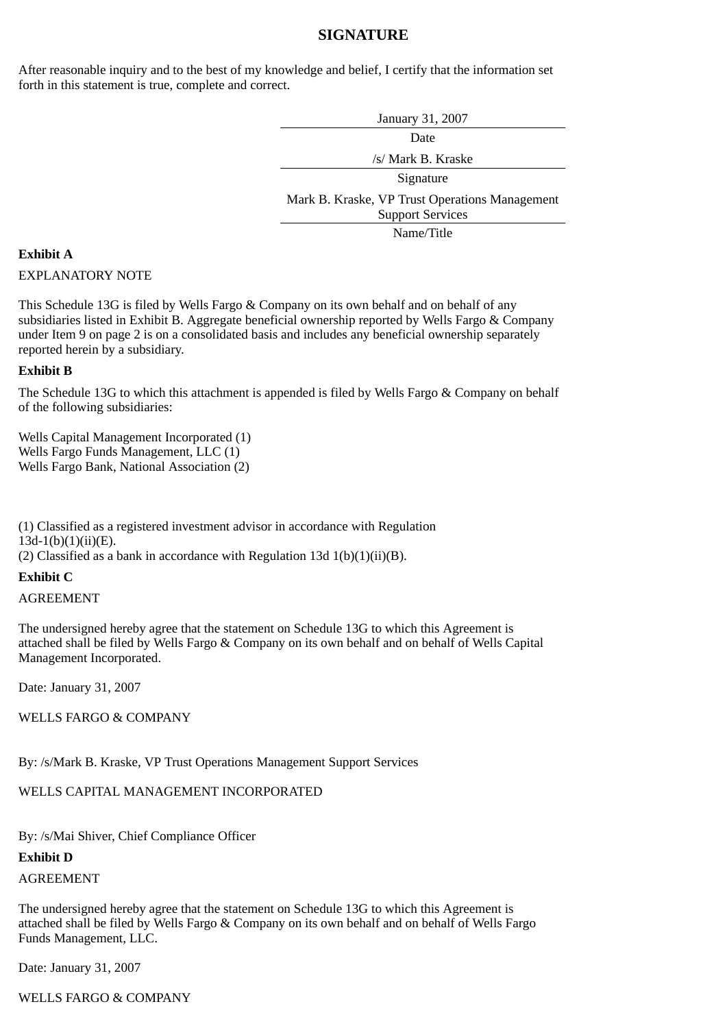## **SIGNATURE**

After reasonable inquiry and to the best of my knowledge and belief, I certify that the information set forth in this statement is true, complete and correct.

> January 31, 2007 Date /s/ Mark B. Kraske Signature Mark B. Kraske, VP Trust Operations Management Support Services Name/Title

## **Exhibit A**

## EXPLANATORY NOTE

This Schedule 13G is filed by Wells Fargo & Company on its own behalf and on behalf of any subsidiaries listed in Exhibit B. Aggregate beneficial ownership reported by Wells Fargo & Company under Item 9 on page 2 is on a consolidated basis and includes any beneficial ownership separately reported herein by a subsidiary.

## **Exhibit B**

The Schedule 13G to which this attachment is appended is filed by Wells Fargo & Company on behalf of the following subsidiaries:

Wells Capital Management Incorporated (1) Wells Fargo Funds Management, LLC (1) Wells Fargo Bank, National Association (2)

(1) Classified as a registered investment advisor in accordance with Regulation  $13d-1(b)(1)(ii)(E)$ .

(2) Classified as a bank in accordance with Regulation 13d  $1(b)(1)(ii)(B)$ .

#### **Exhibit C**

#### AGREEMENT

The undersigned hereby agree that the statement on Schedule 13G to which this Agreement is attached shall be filed by Wells Fargo & Company on its own behalf and on behalf of Wells Capital Management Incorporated.

Date: January 31, 2007

## WELLS FARGO & COMPANY

By: /s/Mark B. Kraske, VP Trust Operations Management Support Services

# WELLS CAPITAL MANAGEMENT INCORPORATED

By: /s/Mai Shiver, Chief Compliance Officer

**Exhibit D**

AGREEMENT

The undersigned hereby agree that the statement on Schedule 13G to which this Agreement is attached shall be filed by Wells Fargo & Company on its own behalf and on behalf of Wells Fargo Funds Management, LLC.

Date: January 31, 2007

WELLS FARGO & COMPANY